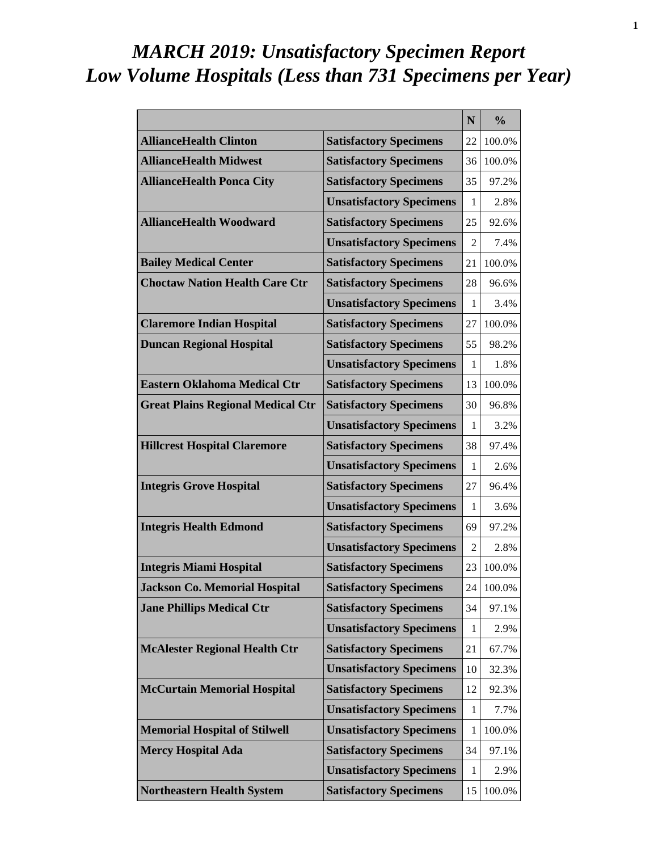# *MARCH 2019: Unsatisfactory Specimen Report Low Volume Hospitals (Less than 731 Specimens per Year)*

|                                          |                                 | N            | $\frac{0}{0}$ |
|------------------------------------------|---------------------------------|--------------|---------------|
| <b>AllianceHealth Clinton</b>            | <b>Satisfactory Specimens</b>   | 22           | 100.0%        |
| <b>AllianceHealth Midwest</b>            | <b>Satisfactory Specimens</b>   | 36           | 100.0%        |
| <b>AllianceHealth Ponca City</b>         | <b>Satisfactory Specimens</b>   | 35           | 97.2%         |
|                                          | <b>Unsatisfactory Specimens</b> | 1            | 2.8%          |
| <b>AllianceHealth Woodward</b>           | <b>Satisfactory Specimens</b>   | 25           | 92.6%         |
|                                          | <b>Unsatisfactory Specimens</b> | 2            | 7.4%          |
| <b>Bailey Medical Center</b>             | <b>Satisfactory Specimens</b>   | 21           | 100.0%        |
| <b>Choctaw Nation Health Care Ctr</b>    | <b>Satisfactory Specimens</b>   | 28           | 96.6%         |
|                                          | <b>Unsatisfactory Specimens</b> | 1            | 3.4%          |
| <b>Claremore Indian Hospital</b>         | <b>Satisfactory Specimens</b>   | 27           | 100.0%        |
| <b>Duncan Regional Hospital</b>          | <b>Satisfactory Specimens</b>   | 55           | 98.2%         |
|                                          | <b>Unsatisfactory Specimens</b> | 1            | 1.8%          |
| <b>Eastern Oklahoma Medical Ctr</b>      | <b>Satisfactory Specimens</b>   | 13           | 100.0%        |
| <b>Great Plains Regional Medical Ctr</b> | <b>Satisfactory Specimens</b>   | 30           | 96.8%         |
|                                          | <b>Unsatisfactory Specimens</b> | 1            | 3.2%          |
| <b>Hillcrest Hospital Claremore</b>      | <b>Satisfactory Specimens</b>   | 38           | 97.4%         |
|                                          | <b>Unsatisfactory Specimens</b> | 1            | 2.6%          |
| <b>Integris Grove Hospital</b>           | <b>Satisfactory Specimens</b>   | 27           | 96.4%         |
|                                          | <b>Unsatisfactory Specimens</b> | 1            | 3.6%          |
| <b>Integris Health Edmond</b>            | <b>Satisfactory Specimens</b>   | 69           | 97.2%         |
|                                          | <b>Unsatisfactory Specimens</b> | 2            | 2.8%          |
| <b>Integris Miami Hospital</b>           | <b>Satisfactory Specimens</b>   | 23           | 100.0%        |
| <b>Jackson Co. Memorial Hospital</b>     | <b>Satisfactory Specimens</b>   | 24           | 100.0%        |
| <b>Jane Phillips Medical Ctr</b>         | <b>Satisfactory Specimens</b>   | 34           | 97.1%         |
|                                          | <b>Unsatisfactory Specimens</b> | 1            | 2.9%          |
| <b>McAlester Regional Health Ctr</b>     | <b>Satisfactory Specimens</b>   | 21           | 67.7%         |
|                                          | <b>Unsatisfactory Specimens</b> | 10           | 32.3%         |
| <b>McCurtain Memorial Hospital</b>       | <b>Satisfactory Specimens</b>   | 12           | 92.3%         |
|                                          | <b>Unsatisfactory Specimens</b> | $\mathbf{1}$ | 7.7%          |
| <b>Memorial Hospital of Stilwell</b>     | <b>Unsatisfactory Specimens</b> | 1            | 100.0%        |
| <b>Mercy Hospital Ada</b>                | <b>Satisfactory Specimens</b>   | 34           | 97.1%         |
|                                          | <b>Unsatisfactory Specimens</b> | 1            | 2.9%          |
| <b>Northeastern Health System</b>        | <b>Satisfactory Specimens</b>   | 15           | 100.0%        |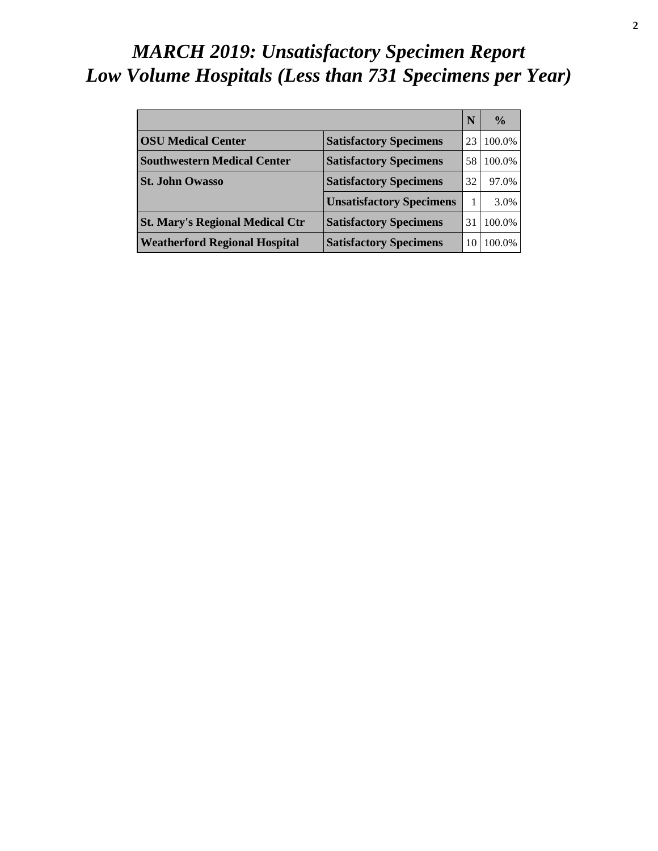# *MARCH 2019: Unsatisfactory Specimen Report Low Volume Hospitals (Less than 731 Specimens per Year)*

|                                        |                                 | N  | $\frac{0}{0}$ |
|----------------------------------------|---------------------------------|----|---------------|
| <b>OSU Medical Center</b>              | <b>Satisfactory Specimens</b>   | 23 | 100.0%        |
| <b>Southwestern Medical Center</b>     | <b>Satisfactory Specimens</b>   | 58 | 100.0%        |
| <b>St. John Owasso</b>                 | <b>Satisfactory Specimens</b>   | 32 | 97.0%         |
|                                        | <b>Unsatisfactory Specimens</b> |    | 3.0%          |
| <b>St. Mary's Regional Medical Ctr</b> | <b>Satisfactory Specimens</b>   | 31 | 100.0%        |
| <b>Weatherford Regional Hospital</b>   | <b>Satisfactory Specimens</b>   | 10 | 100.0%        |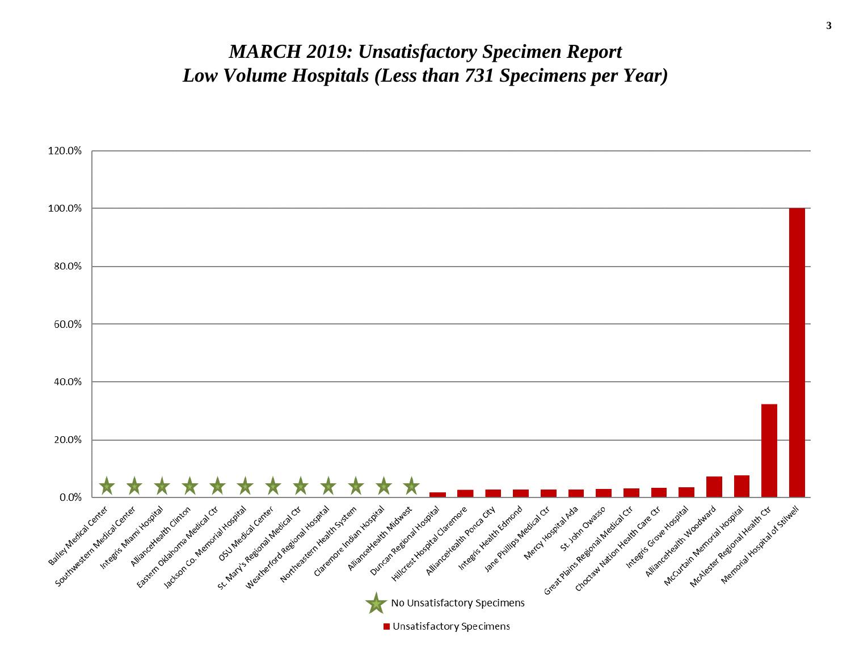#### *MARCH 2019: Unsatisfactory Specimen Report Low Volume Hospitals (Less than 731 Specimens per Year)*

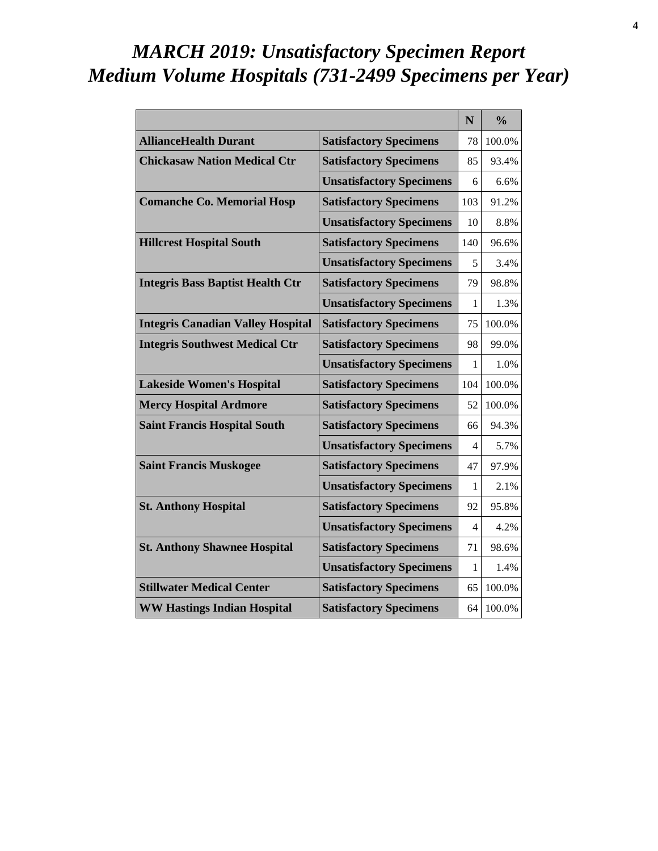# *MARCH 2019: Unsatisfactory Specimen Report Medium Volume Hospitals (731-2499 Specimens per Year)*

|                                          |                                 | N              | $\frac{0}{0}$ |
|------------------------------------------|---------------------------------|----------------|---------------|
| <b>AllianceHealth Durant</b>             | <b>Satisfactory Specimens</b>   | 78             | 100.0%        |
| <b>Chickasaw Nation Medical Ctr</b>      | <b>Satisfactory Specimens</b>   | 85             | 93.4%         |
|                                          | <b>Unsatisfactory Specimens</b> | 6              | 6.6%          |
| <b>Comanche Co. Memorial Hosp</b>        | <b>Satisfactory Specimens</b>   | 103            | 91.2%         |
|                                          | <b>Unsatisfactory Specimens</b> | 10             | 8.8%          |
| <b>Hillcrest Hospital South</b>          | <b>Satisfactory Specimens</b>   | 140            | 96.6%         |
|                                          | <b>Unsatisfactory Specimens</b> | 5              | 3.4%          |
| <b>Integris Bass Baptist Health Ctr</b>  | <b>Satisfactory Specimens</b>   | 79             | 98.8%         |
|                                          | <b>Unsatisfactory Specimens</b> | 1              | 1.3%          |
| <b>Integris Canadian Valley Hospital</b> | <b>Satisfactory Specimens</b>   | 75             | 100.0%        |
| <b>Integris Southwest Medical Ctr</b>    | <b>Satisfactory Specimens</b>   | 98             | 99.0%         |
|                                          | <b>Unsatisfactory Specimens</b> | 1              | 1.0%          |
| <b>Lakeside Women's Hospital</b>         | <b>Satisfactory Specimens</b>   | 104            | 100.0%        |
| <b>Mercy Hospital Ardmore</b>            | <b>Satisfactory Specimens</b>   | 52             | 100.0%        |
| <b>Saint Francis Hospital South</b>      | <b>Satisfactory Specimens</b>   | 66             | 94.3%         |
|                                          | <b>Unsatisfactory Specimens</b> | 4              | 5.7%          |
| <b>Saint Francis Muskogee</b>            | <b>Satisfactory Specimens</b>   | 47             | 97.9%         |
|                                          | <b>Unsatisfactory Specimens</b> | 1              | 2.1%          |
| <b>St. Anthony Hospital</b>              | <b>Satisfactory Specimens</b>   | 92             | 95.8%         |
|                                          | <b>Unsatisfactory Specimens</b> | $\overline{4}$ | 4.2%          |
| <b>St. Anthony Shawnee Hospital</b>      | <b>Satisfactory Specimens</b>   | 71             | 98.6%         |
|                                          | <b>Unsatisfactory Specimens</b> | 1              | 1.4%          |
| <b>Stillwater Medical Center</b>         | <b>Satisfactory Specimens</b>   | 65             | 100.0%        |
| <b>WW Hastings Indian Hospital</b>       | <b>Satisfactory Specimens</b>   | 64             | 100.0%        |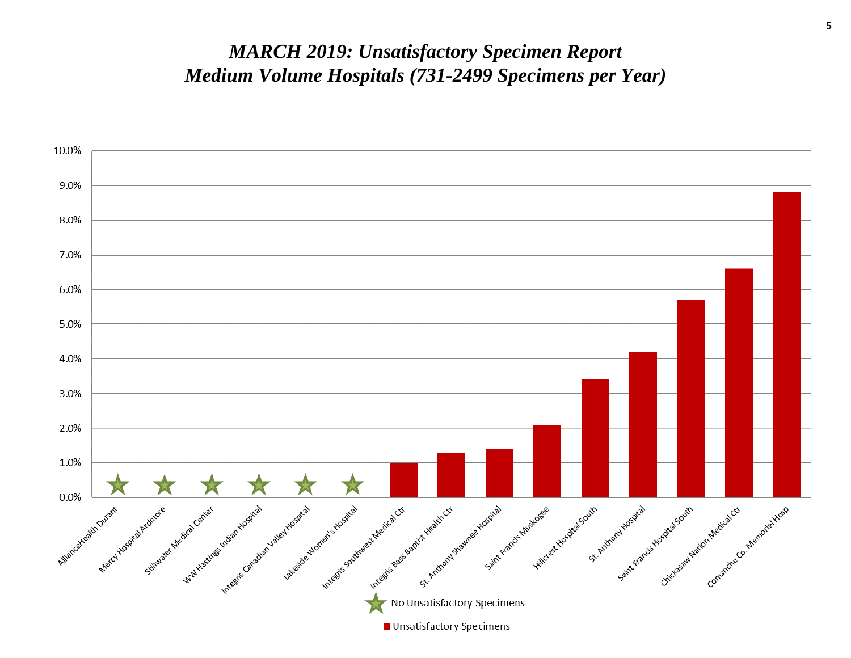#### *MARCH 2019: Unsatisfactory Specimen Report Medium Volume Hospitals (731-2499 Specimens per Year)*

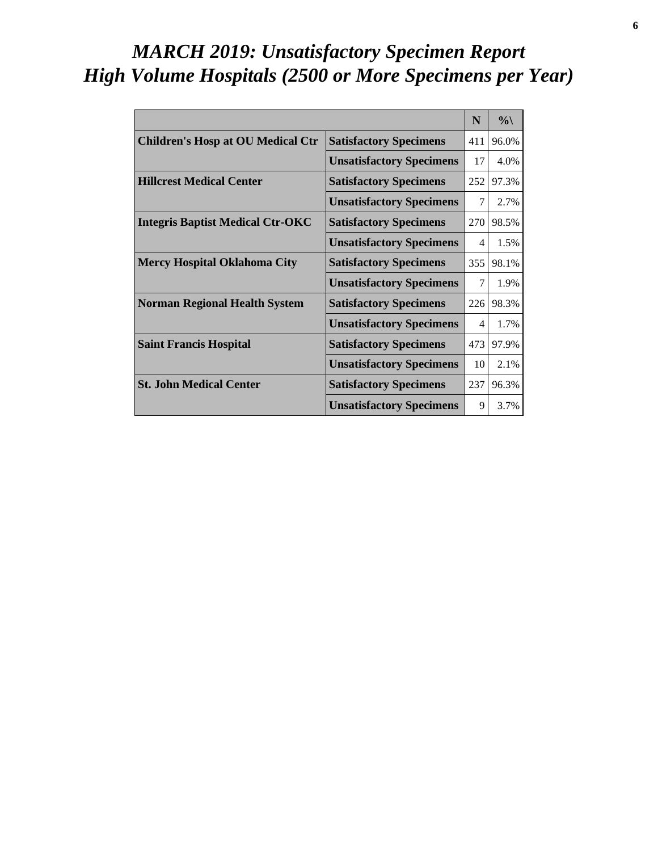# *MARCH 2019: Unsatisfactory Specimen Report High Volume Hospitals (2500 or More Specimens per Year)*

|                                          |                                 | N   | $\%$  |
|------------------------------------------|---------------------------------|-----|-------|
| <b>Children's Hosp at OU Medical Ctr</b> | <b>Satisfactory Specimens</b>   | 411 | 96.0% |
|                                          | <b>Unsatisfactory Specimens</b> | 17  | 4.0%  |
| <b>Hillcrest Medical Center</b>          | <b>Satisfactory Specimens</b>   | 252 | 97.3% |
|                                          | <b>Unsatisfactory Specimens</b> | 7   | 2.7%  |
| <b>Integris Baptist Medical Ctr-OKC</b>  | <b>Satisfactory Specimens</b>   | 270 | 98.5% |
|                                          | <b>Unsatisfactory Specimens</b> | 4   | 1.5%  |
| <b>Mercy Hospital Oklahoma City</b>      | <b>Satisfactory Specimens</b>   | 355 | 98.1% |
|                                          | <b>Unsatisfactory Specimens</b> | 7   | 1.9%  |
| <b>Norman Regional Health System</b>     | <b>Satisfactory Specimens</b>   | 226 | 98.3% |
|                                          | <b>Unsatisfactory Specimens</b> | 4   | 1.7%  |
| <b>Saint Francis Hospital</b>            | <b>Satisfactory Specimens</b>   | 473 | 97.9% |
|                                          | <b>Unsatisfactory Specimens</b> | 10  | 2.1%  |
| <b>St. John Medical Center</b>           | <b>Satisfactory Specimens</b>   | 237 | 96.3% |
|                                          | <b>Unsatisfactory Specimens</b> | 9   | 3.7%  |